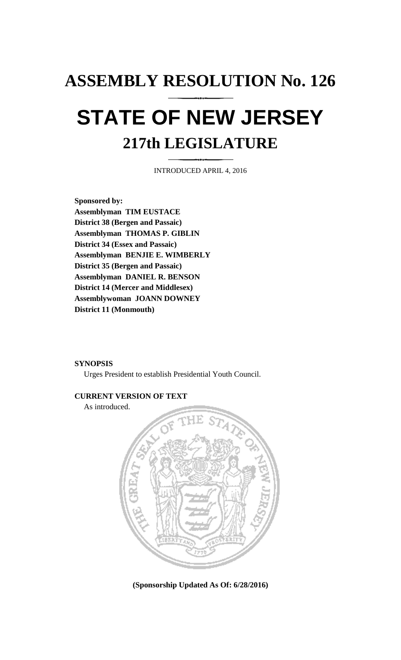# **ASSEMBLY RESOLUTION No. 126 STATE OF NEW JERSEY**

## **217th LEGISLATURE**

INTRODUCED APRIL 4, 2016

**Sponsored by: Assemblyman TIM EUSTACE District 38 (Bergen and Passaic) Assemblyman THOMAS P. GIBLIN District 34 (Essex and Passaic) Assemblyman BENJIE E. WIMBERLY District 35 (Bergen and Passaic) Assemblyman DANIEL R. BENSON District 14 (Mercer and Middlesex) Assemblywoman JOANN DOWNEY District 11 (Monmouth)**

#### **SYNOPSIS**

Urges President to establish Presidential Youth Council.

#### **CURRENT VERSION OF TEXT**

As introduced.



**(Sponsorship Updated As Of: 6/28/2016)**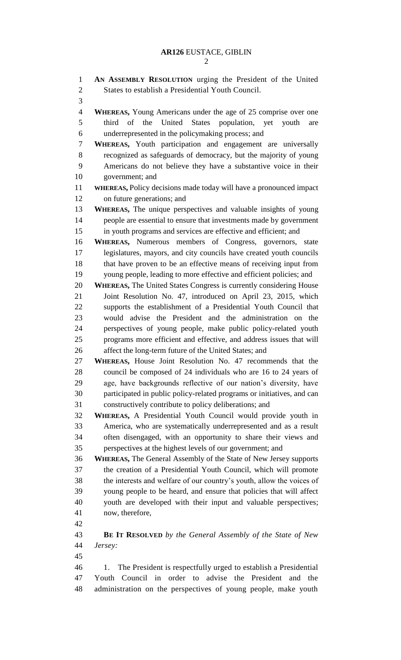| $\mathbf{1}$   | AN ASSEMBLY RESOLUTION urging the President of the United                                                                        |
|----------------|----------------------------------------------------------------------------------------------------------------------------------|
| $\overline{2}$ | States to establish a Presidential Youth Council.                                                                                |
| 3              |                                                                                                                                  |
| $\overline{4}$ | <b>WHEREAS, Young Americans under the age of 25 comprise over one</b>                                                            |
| 5              | the United States population, yet<br>third of<br>youth<br>are                                                                    |
| 6              | underrepresented in the policymaking process; and                                                                                |
| 7              | WHEREAS, Youth participation and engagement are universally                                                                      |
| 8              | recognized as safeguards of democracy, but the majority of young                                                                 |
| 9              | Americans do not believe they have a substantive voice in their                                                                  |
| 10             | government; and                                                                                                                  |
| 11             | WHEREAS, Policy decisions made today will have a pronounced impact                                                               |
| 12             | on future generations; and                                                                                                       |
| 13             | WHEREAS, The unique perspectives and valuable insights of young                                                                  |
| 14             | people are essential to ensure that investments made by government                                                               |
| 15             | in youth programs and services are effective and efficient; and                                                                  |
| 16             | WHEREAS, Numerous members of Congress, governors, state                                                                          |
| 17             | legislatures, mayors, and city councils have created youth councils                                                              |
| 18             | that have proven to be an effective means of receiving input from                                                                |
| 19             | young people, leading to more effective and efficient policies; and                                                              |
| 20             | <b>WHEREAS, The United States Congress is currently considering House</b>                                                        |
| 21             | Joint Resolution No. 47, introduced on April 23, 2015, which                                                                     |
| 22             | supports the establishment of a Presidential Youth Council that                                                                  |
| 23             | would advise the President and the administration on the                                                                         |
| 24             | perspectives of young people, make public policy-related youth                                                                   |
| 25             | programs more efficient and effective, and address issues that will                                                              |
| 26             | affect the long-term future of the United States; and                                                                            |
| 27             | WHEREAS, House Joint Resolution No. 47 recommends that the                                                                       |
| 28             | council be composed of 24 individuals who are 16 to 24 years of                                                                  |
| 29             | age, have backgrounds reflective of our nation's diversity, have                                                                 |
| 30             | participated in public policy-related programs or initiatives, and can                                                           |
| 31             | constructively contribute to policy deliberations; and                                                                           |
| 32<br>33       | WHEREAS, A Presidential Youth Council would provide youth in<br>America, who are systematically underrepresented and as a result |
| 34             | often disengaged, with an opportunity to share their views and                                                                   |
| 35             | perspectives at the highest levels of our government; and                                                                        |
| 36             | WHEREAS, The General Assembly of the State of New Jersey supports                                                                |
| 37             | the creation of a Presidential Youth Council, which will promote                                                                 |
| 38             | the interests and welfare of our country's youth, allow the voices of                                                            |
| 39             | young people to be heard, and ensure that policies that will affect                                                              |
| 40             | youth are developed with their input and valuable perspectives;                                                                  |
| 41             | now, therefore,                                                                                                                  |
| 42             |                                                                                                                                  |
| 43             | <b>BE IT RESOLVED</b> by the General Assembly of the State of New                                                                |
| 44             | Jersey:                                                                                                                          |
| 45             |                                                                                                                                  |
| 46             | The President is respectfully urged to establish a Presidential<br>1.                                                            |
| 47             | Youth Council in order to advise the President and the                                                                           |
| 48             | administration on the perspectives of young people, make youth                                                                   |